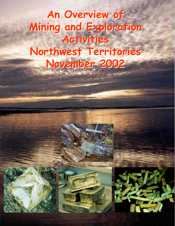# **An Overview of An Overview of Mining and Exploration Mining and Exploration Activities Activities Northwest Territories Northwest Territories November 2002 November 2002**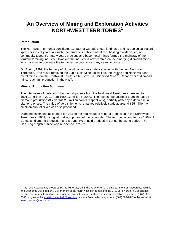# **An Overview of Mining and Exploration Activities NORTHWEST TERRITORIES<sup>1</sup>**

#### **Introduction**

 $\overline{a}$ 

The Northwest Territories constitutes 13.48% of Canada's total landmass and its geological record spans billions of years. As such, the territory is richly mineralized, hosting a wide variety of commodity types. For many years precious and base metal mines formed the mainstay of the territories' mining industry. However, the industry is now centred on the emerging diamond mines, which are set to dominate the territories' economy for many years to come.

On April 1, 1999, the territory of Nunavut came into existence, along with the new Northwest Territories. The move removed the Lupin Gold Mine, as well as, the Polaris and Nanisivik basemetal mines from the Northwest Territories but saw Ekati Diamond Mine**TM**, Canada's first diamond mine, reach full production in the NWT.

#### **Mineral Production Summary**

The total value of metal and diamond shipments from the Northwest Territories increased to \$901.13 million in 2001 from \$685.16 million in 2000. The rise can be ascribed to an increase in diamond production (3.7 versus 2.5 million carats respectively), partially offset by a decrease in diamond prices. The value of gold shipments remained relatively static at around \$55 million. A small amount of silver was also produced.

Diamond shipments accounted for 94% of the total value of mineral production in the Northwest Territories in 2001, with gold making up most of the remainder. The territory accounted for 100% of Canadian diamond production and around 3% of gold production during the same period. The CanTung tungsten mine was re-opened in 2002.

 $1$ This review was jointly prepared by the Minerals, Oil and Gas Division of the Department of Resources, Wildlife and Economic Development, Government of the Northwest Territories and the C.S. Lord Northern Geoscience Centre. For more information, the reader is invited to contact either Christy Campbell by telephone at (867) 920- 3345 or by e-mail at christy\_campbell@gov.nt.ca or Yana Preston by telephone at (867) 669-2642 or by e-mail at yana\_preston@gov.nt.ca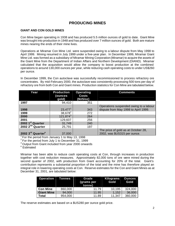# **PRODUCING MINES**

#### **GIANT AND CON GOLD MINES**

Con Mine began operating in 1938 and has produced 5.5 million ounces of gold to date. Giant Mine was brought into production in 1948 and has produced over 7 million ounces of gold. Both are mature mines nearing the ends of their mine lives.

Operations at Miramar Con Mine Ltd. were suspended owing to a labour dispute from May 1998 to April 1999. Mining resumed in July 1999 under a five-year plan. In December 1999, Miramar Giant Mine Ltd. was formed as a subsidiary of Miramar Mining Corporation (Miramar) to acquire the assets of the Giant Mine from the Department of Indian Affairs and Northern Development (DIAND). Miramar calculated that the acquisition would allow the company to boost production at the combined operations to around 130,000 ounces per year, while reducing cash operating costs to under US\$260 per ounce.

In December 1999, the Con autoclave was successfully recommissioned to process refractory ore concentrates. By mid-February 2000, the autoclave was consistently processing 500 tons per day of refractory ore from both Con and Giant mines. Production statistics for Con Mine are tabulated below.

| Year                          | <b>Production</b><br>ounces)<br>gold) | <b>Operating</b><br><b>Costs</b><br>(SUS/oz) | <b>Comments</b>                                                                |
|-------------------------------|---------------------------------------|----------------------------------------------|--------------------------------------------------------------------------------|
| 1997                          | 94,410                                | 351                                          |                                                                                |
| 1998                          | $23,477^1$                            | 343                                          | Operations suspended owing to a labour<br>dispute from May 1998 to April 1999. |
| 1999                          | $38,678^2$                            | 272                                          |                                                                                |
| 2000                          | $121,874^3$                           | 264                                          |                                                                                |
| 2001                          | 129,607                               | 256                                          |                                                                                |
| 2002 1 <sup>st</sup> Quarter  | 31,749                                | 240                                          |                                                                                |
| 2002 2 <sup>nd</sup> Quarter  | 25,791                                | 197                                          |                                                                                |
| 2002 3rd Quarter <sup>e</sup> | 37,000                                |                                              | The price of gold as at October 28,<br>2002, was \$US315 per ounce.            |

<sup>1</sup>For the period from January 1 to May 13, 1998

 $2$  For the period from July 1 to December 31, 1999

<sup>3</sup> Output from Giant included from year 2000 onwards

e Estimated

Miramar has been able to reduce cash operating costs at Con, through increases in production together with cost reduction measures. Approximately 82,000 tons of ore were mined during the second quarter of 2002, with production from Giant accounting for 20% of the total. Giant's contribution represents a substantial proportion of the total and the mine has therefore played an integral role in lowering operating costs at Con. Reserve estimates for the Con and Giant Mines as at December 31, 2001, are tabulated below:

| <b>Operation</b>  | <b>Tonnes</b> | Grade<br>(grams per<br>tonne) | Kilograms<br>Gold | <b>Ounces</b><br>Gold |
|-------------------|---------------|-------------------------------|-------------------|-----------------------|
| <b>Con Mine</b>   | 860,000       | 11.79                         | 10,195            | 324,000               |
| <b>Giant Mine</b> | 94,000        | 11.95                         | 1,152             | 36,000                |
| Total             | 954,000       | 11.89                         | 11.347            | 360,000               |

The reserve estimates are based on a \$US280 per ounce gold price.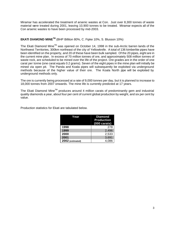Miramar has accelerated the treatment of arsenic wastes at Con. Just over 8,300 tonnes of waste material were treated during 2001, leaving 10,900 tonnes to be treated. Miramar expects all of the Con arsenic wastes to have been processed by mid-2003.

### **EKATI DIAMOND MINETM** (BHP Billiton 80%, C. Fipke 10%, S. Blusson 10%)

The Ekati Diamond Mine<sup>™</sup> was opened on October 14, 1998 in the sub-Arctic barren lands of the Northwest Territories, 300km northeast of the city of Yellowknife. A total of 136 kimberlite pipes have been identified on the property, and 20 of these have been bulk sampled. Of the 20 pipes, eight are in the current mine plan. In excess of 70 million tonnes of ore, and approximately 508 million tonnes of waste rock, are scheduled to be mined over the life of the project. Ore grades are in the order of one carat per tonne (one carat equals 0.2 grams). Seven of the eight pipes in the mine plan will initially be mined via open pit. The Panda and Koala pipes will subsequently be exploited via underground methods because of the higher value of their ore. The Koala North pipe will be exploited by underground methods only.

The ore is currently being processed at a rate of 9,000 tonnes per day, but it is planned to increase to 18,000 tonnes from 2007 onwards. The mine life is currently predicted at 17 years.

The Ekati Diamond Mine<sup>TM</sup> produces around 4 million carats of predominantly gem and industrial quality diamonds a year, about four per cent of current global production by weight, and six per cent by value.

Production statistics for Ekati are tabulated below.

| Year             | <b>Diamond</b>        |  |
|------------------|-----------------------|--|
|                  | <b>Production</b>     |  |
|                  | $(000 \text{ cards})$ |  |
| 1998             | 278                   |  |
| 1999             | 2,496                 |  |
| 2000             | 2,533                 |  |
| 2001             | 3,691                 |  |
| 2002 (estimated) | 4,086                 |  |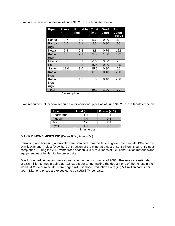| <b>Pipe</b>           | <b>Prove</b><br>n | <b>Probable</b><br>(m <sub>t</sub> ) | <b>Total</b><br>(mt) | Grad<br>e ct/t | Avg<br>Value |
|-----------------------|-------------------|--------------------------------------|----------------------|----------------|--------------|
|                       | (mt)              |                                      |                      |                | US\$/ct      |
| Panda                 | 3.7               | 1.9                                  | 5.6                  | 0.90           | 150*         |
| Panda<br>(ug)         | 1.5               | 1.1                                  | 2.5                  | 0.80           | 150*         |
| Koala                 | 6.4               | 2.3                                  | 8.8                  | 0.76           | 122          |
| Koala<br>(ug)         | 1.2               | 2.1                                  | 3.3                  | 1.50           | 122          |
| Misery                | 5.1               | 0.9                                  | 6.0                  | 3.50           | 26           |
| Fox                   | 8.1               | 8.3                                  | 16.4                 | 0.30           | 125          |
| Sable                 | 12.0              | 3.0                                  | 15.0                 | 0.80           | 65           |
| Koala<br><b>North</b> | 0.1               |                                      | 0.1                  | 0.40           | 200          |
| Koala                 |                   | 1.3                                  | 1.3                  | 0.40           | 200          |
| North                 |                   |                                      |                      |                |              |
| (ug)                  |                   |                                      |                      |                |              |
| Total                 |                   |                                      | 59.0                 | 1.00           | 79           |

Ekati ore reserve estimates as of June 31, 2001 are tabulated below

\*assumption

Ekati resources (all mineral resources) for additional pipes as of June 31, 2001 are tabulated below

| <b>Pipe</b> | Total (mt) | Grade (ct/t) |
|-------------|------------|--------------|
| Beartooth*  | 1.4        | 11           |
| Pigeon*     | 4.4        | 0.5          |
| Jay         | 17         | 2.1          |
| vnx         | 1.4        | າ 8          |

\* in mine plan

#### **DIAVIK DIMOND MINES INC** (Diavik 60%, Aber 40%)

Permitting and licensing approvals were obtained from the federal government in late 1999 for the Diavik Diamond Project (Diavik). Construction of the mine, at a cost of \$1.3 billion, is currently near completion. During the 2001 winter road season, 4,089 truckloads of fuel, construction materials and equipment were hauled to the project site.

Diavik is scheduled to commence production in the first quarter of 2003. Reserves are estimated at 25.6 million tonnes grading at 4.15 carats per tonne making the deposit one of the richest in the world. A 20-year mine life is envisaged with diamond production averaging 5.4 million carats per year. Diamond prices are expected to be \$US63.74 per carat.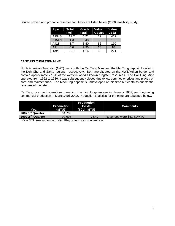| Pipe  | Total<br>(mt) | Grade<br>(ct/t) | Value<br>US\$/ct | Value<br><b>US\$/t</b> |
|-------|---------------|-----------------|------------------|------------------------|
| A154S | 11.7          | 5.21            | 79               | 412                    |
| A154N | 1.3           | 3.48            | 33               | 115                    |
| A418  | 8.7           | 3.40            | 56               | 190                    |
| A21   | 4.0           | 2.95            | 28               | 83                     |
| Total | 25.7          | 4.16            | 65               | 271                    |

Diluted proven and probable reserves for Diavik are listed below (2000 feasibility study)

#### **CANTUNG TUNGSTEN MINE**

North American Tungsten (NAT) owns both the CanTung Mine and the MacTung deposit, located in the Deh Cho and Sahtu regions, respectively. Both are situated on the NWT/Yukon border and contain approximately 15% of the western world's known tungsten resources. The CanTung Mine operated from 1962 to 1986; it was subsequently closed due to low commodity prices and placed on care-and-maintenance. The MacTung deposit is undeveloped at this time but contains substantial reserves of tungsten.

CanTung resumed operations, crushing the first tungsten ore in January 2002, and beginning commercial production in March/April 2002. Production statistics for the mine are tabulated below.

| Year                         | <b>Production</b><br>$(MTU)^{1}$ | <b>Production</b><br><b>Costs</b><br>(\$Cdn/MTU) | <b>Comments</b>           |
|------------------------------|----------------------------------|--------------------------------------------------|---------------------------|
| 2002 1st Quarter             | 34,700                           |                                                  |                           |
| 2002 2 <sup>nd</sup> Quarter | 90,698                           | 75.47                                            | Revenues were \$81.31/MTU |

<sup>1</sup> One MTU (metric tonne unit)= 10kg of tungsten concentrate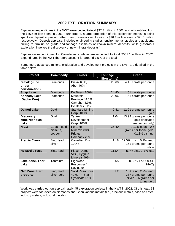# **2002 EXPLORATION SUMMARY**

Exploration expenditures in the NWT are expected to total \$37.7 million in 2002, a significant drop from the \$86.6 million spent in 2001. Furthermore, a large proportion of this exploration money is being spent on deposit appraisal rather than grassroots exploration - \$16.4 million versus \$21.3 million respectively. (Deposit appraisal includes engineering studies, environmental studies and additional drilling to firm up on grade and tonnage estimates of known mineral deposits, while grassroots exploration involves the discovery of new mineral deposits.)

Exploration expenditures for Canada as a whole are expected to total \$501.1 million in 2002. Expenditures in the NWT therefore account for around 7.5% of the total.

Some more advanced mineral exploration and development projects in the NWT are detailed in the table below.

| Project                                          | <b>Commodity</b>                    | Owner                                                        | <b>Tonnage</b><br>(million tonne) | Grade                                                                                |
|--------------------------------------------------|-------------------------------------|--------------------------------------------------------------|-----------------------------------|--------------------------------------------------------------------------------------|
| Diavik (mine<br>under<br>construction)           | <b>Diamonds</b>                     | Diavik 60%,<br>Aber 40%                                      | 25.60                             | 4.15 carats per tonne                                                                |
| <b>Snap Lake</b>                                 | <b>Diamonds</b>                     | De Beers 100%                                                | 24.40                             | 1.51 carats per tonne                                                                |
| <b>Kennady Lake</b><br>(Gacho Kué)               | <b>Diamonds</b>                     | Mountain<br>Province 44.1%,<br>Camphor 4.9%,<br>De Beers 51% | 29.06                             | 1.51 carats per tonne                                                                |
| <b>Damoti Lake</b>                               | Gold                                | <b>Standard Mining</b><br>Corp. 100%                         | 0.41                              | 12.91 grams per tonne<br>gold                                                        |
| <b>Discovery</b><br><b>Mine/Nicholas</b><br>Lake | Gold                                | Tyhee<br>Development<br>Corp. 100%                           | 1.04                              | 13.99 grams per tonne<br>gold (indicated<br>resources only)                          |
| <b>NICO</b>                                      | Cobalt, gold,<br>bismuth,<br>copper | Fortune<br>Minerals 80%,<br>Private<br>Company 20%           | 35.40                             | 0.11% cobalt, 0.6<br>grams per tonne gold,<br>0.13% bismuth                          |
| <b>Prairie Creek</b>                             | Zinc, lead,<br>silver               | Canadian Zinc<br>100%                                        | 11.8                              | 12.5% zinc, 10.1% lead,<br>161 grams per tonne<br>silver                             |
| <b>Howard's Pass</b>                             | Zinc, lead                          | <b>Placer Dome</b><br>51%, Cygnus<br>Minerals 49%            | 113.4                             | 5.4% zinc, 2.1% lead                                                                 |
| Lake Zone, Thor<br>Lake                          | Tantalum                            | Highwood<br>Resources/<br>Navigator                          | 65                                | 0.03% Ta <sub>2</sub> O, 0.4%<br>Nb <sub>2</sub> O <sub>5</sub>                      |
| "M" Zone, Hart<br>property                       | Zinc, lead,<br>silver gold          | <b>Solid Resources</b><br>49%, Tri-Star<br>Syndicate 51%     | 1.2                               | 5.10% zinc, 2.2% lead,<br>337 grams per tonne<br>silver, 0.6 grams per<br>tonne gold |

Work was carried out on approximately 45 exploration projects in the NWT in 2002. Of this total, 33 projects were focussed on diamonds and 12 on various metals (i.e., precious metals, base and steel industry metals, industrial metals).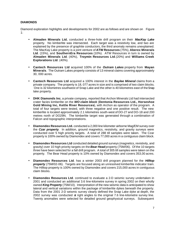#### **DIAMONDS**

Diamond exploration highlights and developments for 2002 are as follows and are shown on Figure 1:

- **Almaden Minerals Ltd.** conducted a three-hole drill program on their *MacKay Lake* property. No kimberlite was intersected. Each target was a resistivity low, and two are explained by the presence of graphite conductors, the third anomaly remains unexplained. The MacKay Lake property is a joint venture of **ATW Resources** (75%), **Aberex Minerals Ltd**. (15%), and **SouthernEra Resources** (10%). ATW Resources in turn is owned by **Almaden Minerals Ltd**. (40%), **Troymin Resources Ltd**.(20%) and **Williams Creek Explorations Ltd**. (40%).
- **Cantech Resources Ltd** acquired 100% of the *Outram Lakes* property from **Mayan Minerals**. The Outram Lakes property consists of 13 mineral claims covering approximately 30, 000 acres.
- **Cantech Resources Ltd** acquired a 100% interest in the *Baylee Mineral* claims from a private company. The property is 18, 077 acres in size and is comprised of two claim blocks. One is 32 kilometres southwest of Snap Lake and the other is 40 kilometres east of the Snap lake property.
- **DHK Diamonds Inc**, a private company, reported that Archon Minerals Ltd had intersected crater facies kimberlite on the *WO claim block* (**Dentonia Resources Ltd., Horseshoe Gold Mining Inc, Kettle River Resources**), with Archon as operator of the program. A total of four targets were tested, with three negative and one positive result. The new kimberlite is located approximately 2.1 kilometres south-west of DO-27 and DO-18 and 200 metres north of DO29N. The kimberlite target was generated through a combination of Falcon and topographic interpretations.
- **Diamondex Resources Ltd.** conducted a 2,000 line kilometer airborne Mag/EM survey over the *Czar property*. In addition, ground magnetics, resistivity, and gravity surveys were conducted over 5 high priority targets. A total of 288 till samples were taken. The Czar property is 100% owned by Diamondex and covers 77,000 acres in a contiguous claim block.
- **Diamondex Resources Ltd** conducted detailed ground surveys (magnetics, revistivity, and gravity) over 10 high priority targets on the *Bear Head* property (75M/06). Of the 10 targets three have been selected for a fall drill program. A total of 305 till samples were taken on the property. The Bear Head property is 10% owned by Diamondex and covers 353,00 acres.
- **Diamondex Resources Ltd**. has a winter 2003 drill program planned for the *Hilltop property* (75M/02-06). Targets are focused along an unresolved kimberlite indicator train. The Hilltop property is 100% owned by Diamondex and covers 215,000 acres in contiguous claim blocks.
- **Diamondex Resources Ltd**. continued to evaluate a 2-D seismic survey undertaken in 2001 and conducted an additional 3.6 line-kilometre survey in spring 2002 on their wholly owned *King Property* (75M/10). Interpretation of the new seismic data is anticipated to show lateral and vertical variations within the package of kimberlite dykes beneath the property. Data from the 2001 2-D seismic survey clearly defined the Snap Lake dyke at depth, the 2002 survey was conducted at right angles to the original 7.6 line-kilometre survey line. Twenty anomalies were selected for detailed ground geophysical surveys. Subsequent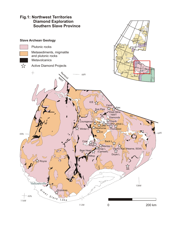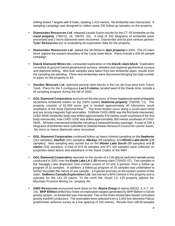drilling tested 7 targets with 8 holes, totalling 1,410 metres. No kimberlite was intersected. A sampling campaign was designed to collect some 200 follow-up samples on the property.

- **Diamondex Resources Ltd**. released caustic fusion results for the CT-55 kimberlite on the *Carat property* (76D/15, 16; 76E/01, 02). A total of 242 kilograms of kimberlite were processed and 2 micro diamonds were recovered. Diamondex and its joint venture partner, **Tyler Resources** are re-evaluating all exploration data for the property.
- **Diamondex Resources Ltd**. staked the 56,000acre *Ajax property* in 2002. The 23 claim block adjoins the eastern boundary of the Carat claim block. Plans include a 200 till sample campaign.
- **Diavik Diamond Mines Inc.** conducted exploration on the *Diavik claim block*. Exploration consisted of ground based geophysical surveys, detailed and regional geohemical surveys and diamond drilling. Mini-bulk samples were taken from two kimberlite pipes, results from the sampling are pending. Three new kimberlites were discovered bringing the total number of pipes on the property to 63.
- **Geodex Minerals Ltd**. optioned several claim blocks in the Lac de Gras area from Trevor Teed. Plans for the 5 contiguous *Lac1-5 claims*, located west of the Diavik mine, include a till sampling program during the fall of 2002.
- **GGL Diamond Corporation** announced the discovery of three hypabyssal spinel phlogopite serpentine kimberlite bodies on the 100% owned *Seahorse property* (76D/06, 11). The property consists of 62,000 acres and is located approximately 40 kilometres south southwest of the Ekati Diamond Mine™. The three bodies occur along a south-west trend and are strong magnetic high anomalies. Drillhole CH02-08SE was the first body intersected, CH02-09SE kimberlitic body was drilled approximately 670 metres south southeast of the first body intersected, hole CH02-10SE was drilled approximately 350 metres southeast of CH02- 09SE. All holes intersected kimberlite intruding a metasedimentary package. A total of 339.4 kilograms of kimberlite were submitted to Saskatchewan Research Council for caustic fusion. No micro or macro diamonds were recovered.
- **GGL Diamond Corporation** continued follow up heavy mineral sampling on the *Seahorse* (161 samples), *Starfish* (261 samples), *Mackay* (49 samples), and *Winter Lake North* (128 samples). New sampling was carried out on the *Winter Lake South* (89 samples) and *G claims* (152 samples). A total of 874 till samples and 971 soil samples were collected on properties listed above and elsewhere in the Slave Craton of the NWT.
- **GGL Diamond Corporation** reported on the results of a 136 glacial sediment sample survey conducted in 2001 over the *Doyle Lake LA 1-25* mineral claim (75N/02-07). Two samples in the Squiggly Lake dispersion train contain counts of 10 and 3 garnets, from a follow up program of 32 samples. In addition, a follow-up program of 16 samples was undertaken to further elucidate the nature of one sample – a 4 garnet anomaly on the eastern portion of the claim. **DeBeers Canada Exploration Ltd**. has earned a 60% interest in the property and is operator for the LA1-25 claims. To the north the Doyle LA 1-25 property adjoins the Mountain Province Mining Inc. property AK.
- **GMD Resources** announced work done on the *Royce Group* of claims (85O/2, 3, 5-7, 10- 14). **BHP Billiton** drilled four holes on exploration targets generated by BHP Billiton's Falcon gravity system, no kimberlite was intersected. Two of the holes tested lake-based coincident gravity low/EM conductors. The anomalies were selected from a 3,500 line-kilometre Falcon gradiometer airborne survey at a line spacing of 100 metres. Results from 106 till samples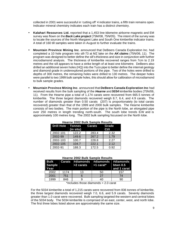collected in 2001 were successful in 'cutting off' 4 indicator trains, a fifth train remains open. Indicator mineral chemistry indicates each train has a distinct chemistry.

- **Kalahari Resources Ltd.** reported that a 1,453 line-kilometre airborne magnetic and EM survey was flown on the *Back Lake project* (75M/08, 75N/05). The intent of the survey was to locate the sources of the North Margaret Lake and South One kimberlite indicator trains. A total of 160 till samples were taken in August to further evaluate the trains.
- **Mountain Province Mining Inc**. announced that DeBeers Canada Exploration Inc. had completed a 10 hole program into sill-73 at MZ lake on the *AK claims* (75N/06, 11). The program was designed to better define the sill's thickness and size in conjunction with further microdiamond analysis. The thickness of kimberlite recovered ranges from 7cm to 2.19 metres and the sill appears to have a strike length of at least one kilometre. DeBeers also drilled an additional seven holes (HQ) into the Tuzo pipe to better define the internal geology and diamond grade in underexplored portions of the pipe. Two of the holes were drilled to depths of 300 metres, the remaining holes were drilled to 130 metres. The deeper holes were parallel to two 1999 bulk sample holes, this should allow for calibration of microdiamond to bulk sample grades.
- **Mountain Province Mining Inc**. announced that **DeBeers Canada Exploration Inc** had received results from the bulk sampling of the *Hearne* and *5034* kimberlite bodies (75N/06, 11). From the Hearne pipe a total of 1,174 carats were recovered from 665.5 tonnes of kimberlite. The three largest diamonds recovered weigh 8.7, 6.4, and 4.9 carats. The number of diamonds greater than 0.50 carats (207) is proportionately (to total carats recovered) greater than that of the 1999 and 2000 bulk samples. The Hearne kimberlite consists of two bodies. The main portion of the pipe is the North lobe, an elongated pipe over 250 metres in length trending north-south. The south lobe trends E-W and is approximately 100 metres long. The 2002 bulk sampling focussed on the North lobe.

| <b>TIGGLITE ZUUZ DUIN JAIHDIG KESUILS</b> |           |               |               |  |  |
|-------------------------------------------|-----------|---------------|---------------|--|--|
| Drill Hole Tonnes                         | (in situ) | <b>Carats</b> | Grade<br>Ct/t |  |  |
| 2002-101                                  | 122.2     | 283.4         | 2.32          |  |  |
| 2002-99                                   | 149.6     | 267.2         | 1.79          |  |  |
| 2002-103                                  | 100.7     | 228.8         | 2.27          |  |  |
| 2002-105                                  | 104.7     | 222.1         | 2.12          |  |  |
| 2002-91                                   | 188.3     | 172.5         | 0.92          |  |  |

**Hearne 2002 Bulk Sample Results**

#### **Hearne 2002 Bulk Sample Results**

| <b>Sample</b><br>Year |      |    | Bulk Carats #diamonds #diamonds #diamonds<br>$>2$ carats $>1$ carat <sup>*</sup> btwn 0.5 | and 1 carat |
|-----------------------|------|----|-------------------------------------------------------------------------------------------|-------------|
| 2002                  | 1174 | 13 | 50                                                                                        | 157         |
| 2001                  | 751  |    | 27                                                                                        | 74          |
| 1999                  | 846  |    | 40                                                                                        | 90          |

\*includes those diamonds > 2.0 carat

For the 5034 kimberlite a total of 1,215 carats were recovered from 836 tonnes of kimberlite, the three largest diamonds recovered weigh 7.0, 6.6, and 5.9 carats. Seventy diamonds greater than 1.0 carat were recovered. Bulk sampling targeted the western and central lobes of the 5034 body. The 5034 kimberlite is comprised of an east, center, west, and north lobe. The first three lobes listed above are approximately the same size.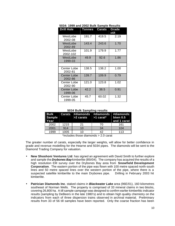| <b>Drill Hole</b>             | <b>Tonnes</b> | <b>Carats</b> | Grade<br>ct/t |
|-------------------------------|---------------|---------------|---------------|
| WestLobe<br>2002-08           | 191.7         | 419.5         | 2.19          |
| WestLobe<br>2002-89           | 143.4         | 243.6         | 1.70          |
| WestLobe<br>2002-102          | 101.9         | 179.9         | 1.77          |
| WestLobe<br>1999-03           | 49.9          | 92.6          | 1.86          |
|                               |               |               |               |
| Center Lobe<br>2002-81        | 138.5         | 138.2         | 1.00          |
| <b>Center Lobe</b><br>2002-86 | 139.7         | 109.9         | 0.79          |
| Center Lobe<br>2002-90        | 121.0         | 123.8         | 1.02          |
| Center Lobe<br>1999-06        | 42.2          | 38.5          | 0.91          |
| Center Lobe<br>1999-05        | 45.7          | 60.02         | 1.32          |

**5034: 1999 and 2002 Bulk Sample Results**

#### **5034 Bulk Sampling results**

| Sample<br>Year |      |    | Bulk Carats #diamonds #diamonds #diamonds<br>$>$ 2 carats $>$ 1 carat* btwn 0.5 | and 1 carat |
|----------------|------|----|---------------------------------------------------------------------------------|-------------|
| 2002           | 1215 | 21 | 70                                                                              | 161         |
| 2001           | 914  | 10 | 34                                                                              | 104         |
| 1999           | 1005 | 10 | 42                                                                              | 113         |

\*includes those diamonds > 2.0 carat

The greater number of carats, especially the larger weights, will allow for better confidence in grade and revenue modelling for the Hearne and 5034 pipes. The diamonds will be sent to the Diamond Trading Company for valuation.

- **New Shoshoni Ventures Ltd**. has signed an agreement with David Smith to further explore and sample the *Drybones Bay* kimberlite (85I/04). The company has acquired the results of a high resolution EM survey over the Drybones Bay area from **Snowfield Development Corporation**. The eastern portion of the pipe was flown with 100 metre spaced north-south lines and 50 metre spaced lines over the western portion of the pipe, where there is a suspected satellite kimberlite to the main Drybones pipe. Drilling in February 2003 hit kimberlite.
- **Patrician Diamonds Inc**. staked claims in *Blackwater Lake* area (96E/01), 160 kilometres southeast of Norman Wells. The property is comprised of 33 mineral claims in two blocks, covering 26,800 ha. A till sample campaign was designed to confirm earlier kimberlitic indicator results (sampling by DeBeers in the late 1980's) and to obtain high quality chemistry on the indicators from each of three dispersion trains observed in archival material. Preliminary results from 33 of 56 till samples have been reported. Only the coarse fraction has been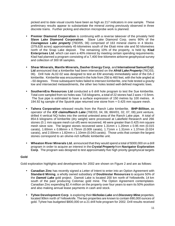picked and to date visual counts have been as high as 217 indicators in one sample. These preliminary results appear to substantiate the mineral zoning previously observed in three discrete trains. Further picking and electron microprobe work is planned.

- **Premier Diamond Corporation** is continuing with a reverse takeover of the privately held **Slave Lake Diamond Corporation**. Slave Lake Diamond Corp. owns 90% of the *Courageous Lake property* (76D/05, 06) comprised of 163 mineral claims in 4 blocks (379,628 acres) approximately 45 kilometres south of the Ekati mine site and 50 kilometres north of the Snap Lake deposit. The remaining 10% of the property, is held by **Klad Enterprises Ltd**. which can earn a 40% interest by meeting certain spending requirements. Klad had planned a program consisting of a 7,400 line-kilometre airborne geophysical survey and collection of 300 till samples.
- **Shear Minerals, Mantle Minerals, Dasher Energy Corp**, and **International Samuel Expl**. **Ltd** announced that a kimberlite had been intersected on the *Afridi Lake Property* (76C/03, 06). Drill hole AL02-02 was designed to test an EM anomaly immediately west of the DA-2 kimberlite. Kimberlite was encountered in the hole from 256 to 460 feet, with the hole angled at –50 degrees. Three subsequent holes failed to intersect kimberlite, one hole tested a gravity low and intersected metasediments, the other two holes tested well-defined magnetic lows.
- **SouthernEra Resources Ltd** conducted a 6 drill hole program to test the Sue kimberlite. Total core sampled from six holes was 716 kilograms, a total of 22 stones had 2 axes > 0.5mm. The Sue pipe is estimated to have a surface expression of 150 metres by 100 metres. A 194.92 kg sample of the Sputnik pipe returned one stone from + 0.425 mm square mesh.
- **Tahera Corporation** released results from the Ranch Lake kimberlite. **BHP-Billiton**, as operator of the *ICE claims/Ranch Lake* (76E/03, 04, 06; 86H/01, 02, 07, 08) joint venture, drilled 4 vertical NQ holes into the central untested area of the Ranch Lake pipe. A total of 854.6 kilograms of kimberlite (dry weight) were processed at Lakefield Research and 266 stones (0.1 mm square mesh cut-off) were recovered, 46 were greater than 0.425 mm square mesh sieve size. The largest stones recovered were 1.31mm x 1.20mm x 0.95 mm (0.015 carats), 1.60mm x 0.86mm x 0.75mm (0.009 carats), 1.71mm x 1.31mm x 1.37mm (0.024 carats), and 2.00mm x 1.82mm x 1.10mm (0.043 carats). Those units that contain the largest stones correspond to an olivine-rich tuffisitic kimberlite unit.
- **Wheaton River Minerals Ltd.** announced that they would spend a total of \$300,000 on a drill program in order to acquire an interest in the *Crystal Property* from **Navigator Exploration Corp**. The program was designed to test approximately five high priority geophysical targets

### **Gold**

Gold exploration highlights and developments for 2002 are shown on Figure 2 and are as follows:

- **Canadian Zinc** has recently signed a Letter of Intent to enter into an Option Agreement with **Standard Mining**, a wholly owned subsidiary of **Doublestar Resources** to acquire 50% of the *Damoti Lake* gold project. Damoti Lake is located 200 km north of Yellowknife, 14 km south of the past producing Colomac gold mine. The Option Agreement contemplates Canadian Zinc expending \$2.4 million on the property over four years to earn its 50% position and also making annual lease payments in cash and stock.
- **Tyhee Development Corp**. is exploring their *Nicholas Lake* and *Discovery Mine* properties, located 90km north of Yellowknife. The two properties are known to contain 690,000 ounces of gold. Tyhee has budgeted \$800,000 on a 21 drill hole program for 2002. Drill results received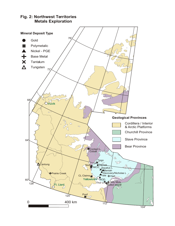#### **Mineral Deposit Type** 76°, Gold Polymetalic Nickel - PGE ⌒ ╋ Base Metal  $\bm{x}$ Tantalum  $\Delta$ Tungsten  $72^\circ$ کہ o 68 **Dinuvik Geological Provinces** ra<br>F Cordillera / Interior  $\heartsuit$  $\infty$ & Arctic Platforms Churchill Province Slave Province  $64^\circ$ Bear Province Contact L<br>Cobalt */l* ŵ  $\mathcal{C}^{\Lambda}_{\mathcal{S}}$ Tingo galo  $\Lambda$ Cantung Nod Damoti Squalus L NICO Beniah Discovery/Nicholas I rairie Creek CL Claims  $Isle$   $+$  Hart Yellowkn  $60^\circ$ ROD Holy Moly Thor L. 128 t. Liard o <u>f</u>itot Is Poof<br>-  $\blacksquare$ 120 o  $\mathscr{G}'$ 0 400 km  $112^{\circ}$  $104^\circ$

# **Fig. 2: Northwest Territories Metals Exploration**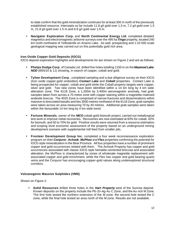to-date confirm that the gold mineralization continues for at least 300 m north of the previously established resource. Intercepts so far include 11.8 g/t gold over 1.5 m, 7.2 g/t gold over 1.5 m, 21.8 g/t gold over 1.5 m and 6.6 g/t gold over 1.6 m.

• **Navigator Exploration Corp.** and **North Continental Energy Ltd**. completed detailed magnetics and electromagnetic airborne surveys over the 495 ha *Tingo* property, located 240 km north-northwest of Yellowknife on Arseno Lake. As well, prospecting and 1:10 000 scale geological mapping was carried out on this potentially gold rich area.

#### **Iron Oxide Copper Gold Deposits (IOCG)**

IOCG deposit exploration highlights and developments for are shown on Figure 2 and are as follows:

- **Phelps Dodge Corp**. of Canada Ltd. drilled five holes totalling 1150 m on the *Mazenod Lake: NOD* (85N/10 & 11) showing, in search of copper, cobalt and gold.
- **Tyhee Development Corp**., completed sampling and a due diligence survey on their IOCG (Iron oxide copper-gold orebodies) *Contact Lake* and *Cobalt* properties. Contact Lake is being prospected for copper, cobalt and gold while the Cobalt property targets were copper, silver and gold. Two new zones have been identified within a 14 km long by 4 km wide alteration zone. The 6118 Zone, a 1,200m by 3,400m aeromagnetic anomaly, had grab samples taken from across a 70 metre zone with copper staining within a magnetite-matrixed andesite breccia. The 4020 Zone is comprised of narrow fractures and disseminations within massive to brecciated basalts and lies 3500 metres northwest of the 6118 Zone, grab samples were taken across an area measuring 70 by 40 metres. Additional grab samples were taken within the favourable 14 km long by 4 km wide trend.
- **Fortune Minerals**, owner of the *NICO* cobalt-gold-bismuth project, carried out metallurgical test work to improve metal recoveries. Recoveries are now estimated at 83% for cobalt, 42% for bismuth, and 50 to 70% for gold. Positive results were returned from a resource estimation and scoping level economic assessment of the property based on an underground mining development scenario with supplemental mill feed from smaller pits.
- **Fronteer Development Group Inc.** completed a four week reconnaissance exploration program on their *Conjuror*, *Achook*, *McPhoo* and *Flex* properties confirming the potential for IOCG style mineralization in the Bear Province. All four properties have a number of prominent copper and gold occurrences related with them. The Achook Property has copper and gold occurrences associated with classic IOCG style hematite-cemented breccias and associated alteration, the McPhoo is characterized by zones of wholesale magnetite replacement with associated copper and gold enrichment, while the Flex has copper and gold bearing quartz veins and the Conjuror has encouraging copper-gold values along underexplored structural corridors.

### **Volcanogenic Massive Sulphides (VMS)**

Shown on Figure 2:

• **Solid Resources** drilled three holes in the *Hart Property* west of the Sunrise deposit. Known deposits on the property include the Pb-Zn-Ag-Au C Zone, and the Au-rich M Zone. The first hole tested the northern extension of the M zone, the second hole tested the C zone, while the final hole tested an area north of the M zone. Results are not available.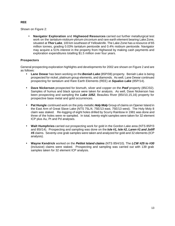#### **REE**

Shown on Figure 2:

• **Navigator Exploration** and **Highwood Resources** carried out further metallurgical test work on the tantalum-niobium-yttrium-zirconium and rare earth element bearing Lake Zone, situated at *Thor Lake*, 100 km southeast of Yellowknife. The Lake Zone has a resource of 65 million tonnes, grading 0.03% tantalum pentoxide and 0.4% niobium pentoxide. Navigator may acquire a 51% interest in the property from Highwood by making cash payments and exploration expenditures totalling \$1.5 million over four years.

### **Prospectors**

General prospecting exploration highlights and developments for 2002 are shown on Figure 2 and are as follows:

- **Lane Dewar** has been working on the *Beniah Lake* (85P/08) property. Beniah Lake is being prospected for nickel, platinum group elements, and diamonds. As well, Lane Dewar continued prospecting for tantalum and Rare Earth Elements (REE) at *Squalus Lake* (85P/14).
- **Dave Nickerson** prospected for bismuth, silver and copper on the *Poof* property (85C/02). Samples of humus and black spruce were taken for analysis. As well, Dave Nickerson has been prospecting and sampling the *Lake 1052*, Beaulieu River (85I/10,15,16) property for prospective base metal and gold occurrences.
- **Pat Hungle** continued work on the poly-metallic *Holy Moly* Group of claims on Opener Island in the East Arm of Great Slave Lake (NTS 75L/4, 75E/13 east, 75E/13 west). The Holy Moly 8 claim was staked. Re-logging of eight holes drilled by Scurry Rainbow in 1981 was done and three of the holes were re-sampled. In total, twenty-eight samples were taken for 32 element ICP plus Au, Pt and Pd analyses.
- **Walt Humphries** carried out prospecting work for gold in the Gordon Lake area (NTS 85P/3 and 85I/14). Prospecting and sampling was done on the *Isle #1, Isle #2, Laren #1 and Joliff #5* claims. Seventy-one grab samples were taken and analyzed for gold and 32 elements (ICP analysis).
- **Wayne Kendrick** worked on the *Petitot Island claims* (NTS 85H/10). The *LCW #25 to #30* (inclusive) claims were staked. Prospecting and sampling was carried out with 139 grab samples taken for 32 element ICP analysis.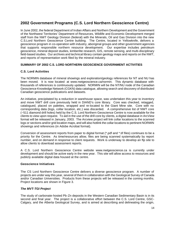# **2002 Government Programs (C.S. Lord Northern Geoscience Centre)**

In June 2002, the federal Department of Indian Affairs and Northern Development and the Government of the Northwest Territories' Department of Resources, Wildlife and Economic Development merged staff from the NWT Geology Division (federal) with the Minerals, Oil and Gas Division into the new C.S.Lord Northern Geoscience Centre building. The Centre, located in Yellowknife, delivers a geoscience program in co-operation with industry, aboriginal groups and other government agencies that supports responsible northern resource development. Our expertise includes petroleum geoscience, mineral deposit studies, kimberlite research, GIS, remote sensing, and multi-disciplinary field-based studies. Our archives and technical library contain geology maps and reports on the NWT, and reports of representation work filed by the mineral industry.

### **SUMMARY OF 2002 C.S. LORD NORTHERN GEOSCIENCE GOVERNMENT ACTIVITIES**

### **C.S. Lord Activities**

The NORMIN database of mineral showings and exploration/geology references for NT and NU has been moved. It is now located at www.nwtgeoscience.ca/normin. This dynamic database with thousands of references is continuously updated. NORMIN will be the NT/NU node of the Canadian Geoscience Knowledge Network (CGKN) data catalogue, allowing search and discovery of distributed Canadian geoscience publications and datasets.

An initiative, precipitated by a reduction in warehouse space, was undertaken this year to inventory and move NWT drill core previously held in DIAND's core library. Core was checked, retagged, catalogued, placed on palettes, wrapped and re-located to the Giant Mine site. Core with no corresponding data (logs, collar location, etc.) was discarded. A comprehensive list of NWT core (~511 diamond drill holes) held by the C.S. Lord Northern Geoscience Centre is now available for the clients to view upon request. To aid in the use of the drill core by clients, a digital database in ArcView format will be released in January, 2003. The Arcview project will link collar locations to the scanned logs or sections and/or grid location maps, and will also hotlink the collar locations to pertinent NORMIN showings and references (in Adobe Acrobat format).

Conversion of assessment reports from paper to digital format (\*.pdf and \*.tif files) continues to be a priority for the Centre. As time/resources allow, files are being scanned systematically by report number, and on demand in response to client requests. Work is underway to develop an ftp site to allow clients to download assessment reports.

A C.S. Lord Northern Geoscience Centre website www.nwtgeoscience.ca is currently under development and should be active early in the new year. This site will allow access to resources and publicly available digital data housed at the centre.

#### **Geoscience Initiatives**

The CS Lord Northern Geoscience Centre delivers a diverse geoscience program. A number of projects are under way this year, several of them in collaboration with the Geological Survey of Canada and/or Canadian Universities. Products from these projects will be released in the coming months. Project locations are shown in Figure 3.

#### *The MVT-TGI Project*

The study of carbonate-hosted Pb-Zn deposits in the Western Canadian Sedimentary Basin is in its second and final year. The project is a collaborative effort between the C.S. Lord Centre, GSC-Calgary, and the Alberta Geological Survey, and is aimed at describing and delineating the origin,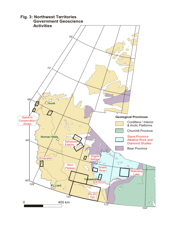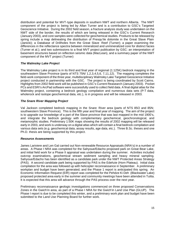distribution and potential for MVT-type deposits in southern NWT and northern Alberta. The NWT component of the project is being led by Allan Turner and is a contribution to GSC's Targeted Geoscience Initiative. During the 2002 field season, a fracture analysis study was undertaken on the NWT side of the border, the results of which are being released in the GSC's Current Research (January 2003), and core samples were collected for geochemical studies. Products to be released by spring include a map delineating the distribution of Presqu'ile dolomite in the Great Slave Plain (Janicki); a Database of Drillholes from the Great Slave Reef (Turner); a paper examining the differences in the reflectance spectra between mineralized and unmineralized core for distinct facies (Turner et al.); and two submissions to a final MVT project publication by GSC: an interpretation of basement structures based on reflection seismic data (MacLean), and a summary paper of the NWT component of the MVT project (Turner)

### *The Walmsley Lake Project*

The Walmsley Lake project is in its third and final year of regional (1:125K) bedrock mapping in the southeastern Slave Province (parts of NTS 75N/ 1,2,3,4,5,6, 7,11,12). The mapping completes the field-work component of the three year, multidisciplinary Walmsley Lake Targeted Geoscience Initiative project conducted in partnership with the GSC. The project is being coordinated by Scott Cairns. Highlights from 2002 field work will be published in GSC's Current Reasearch (January 2003). Pocket PCs and ESRI's ArcPad software were successfully used to collect field data. A final digital atlas for the Walmsley project, containing a bedrock geology compilation and numerous data sets (P-T data, wholerock and isotope geochemical data, etc.), is in progress and will be released in 2003.

### *The Snare River Mapping Project*

Val Jackson completed bedrock mapping in the Snare River area (parts of NTS 85O and 85N; southwestern Slave Province). This is the fifth year and final year of mapping. The aim of the project is to upgrade our knowledge of a part of the Slave province that was last mapped in the mid 1900's, and integrate the bedrock geology with complementary geochemical, geochronological, and metamorphic studies. Preliminary 1:50K maps showing the results of 2002 mapping will be released early in 2003, and work is underway on a digital atlas which will contain a final bedrock compilation and various data sets (e.g. geochemical data, assay results, age data, etc.). Three B.Sc. theses and one Ph.D. thesis are being supported by this project.

#### *Resource Assessments*

James Lariviere and Len Gal carried out Non-renewable Resource Appraisals (NRA's) in a number of areas. A Phase I NRA was completed for the Sahyoue/Edacho proposed park on Great Bear Lake, and initial field work for a Phase II appraisal was undertaken during the summer. Activities included outcrop examinations, geochemical stream sediment sampling and heavy mineral sampling. Sahyoue/Edacho has been identified as a candidate park under the NWT Protected Areas Strategy (PAS). A second candidate park being supported by PAS is the Edehzie (Horn Plateau). Initial data compilation for the area was followed up with helicopter reconnaissance in September. A preliminary workplan and budget have been generated, and the Phase 1 report is anticipated this spring. An Economic Information Request (EIR) report was completed for the Pehdze Ki Deh (Blackwater Lake) proposed protected area early in the summer and community meetings have been attended in Tulita. It is expected that this area will advance through the PAS process over the next year.

Preliminary reconnaissance geologic investigations commenced on three proposed Conservations Zones in the Gwich'in area, as part of a Phase I NRA for the Gwich'in Land Use Plan (GLUP). The Phase I report is due to be completed this winter, and a preliminary work plan and budget have been submitted to the Land Use Planning Board for further work.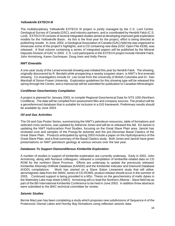#### *Yellowknife EXTECH III*

The multidisciplinary Yellowknife EXTECH III project is jointly managed by the C.S. Lord Centre, Geological Survey of Canada (GSC), and industry partners, and is coordinated by Hendrik Falck (C.S. Lord). EXTECH III consists of several integrated studies aimed at developing improved gold exploration models for the Yellowknife Basin. As this is the final year for the project, effort is being directed at publishing results. In June, 2002, a Geological Association of Canada (GAC) field trip was organized to showcase some of the project's highlights, and a CD containing new data (GSC Open File 4339), was released. A final volume containing a series of integrated papers will be published by the Mineral Deposits Division of GAC in 2003. C.S. Lord participants in the EXTECH project include Hendrik Falck, John Armstrong, Karen Gochnauer, Doug Irwin and Kelly Pierce.

#### *NWT Emeralds*

A one-year study of the Lened emerald showing was initiated this year by Hendrik Falck. The showing, originally discovered by R. Berdahl while prospecting a nearby tungsten skarn, is NWT's first emerald showing. Co-investigators include Dr. Lee Groat from the University of British Columbia and Dr. Dan Marshall of Simon Fraser University. Exploration guidelines for this showing type will be released this spring through the Centre, and a manuscript will be submitted for publication to Canadian Mineralogist.

#### *Cordilleran Geochemistry Compilation*

A project is planned for January 2003, to compile Regional Geochemical Data for NTS 105I (Northern Cordillera). The data will be compiled from assessment files and company sources. The product will be a georeferenced database that is suitable for inclusion in a GIS framework. Preliminary results should be available by June 2003.

#### *Oil and Gas Activities*

The Oil and Gas Poster Series, summarizing the NWT's petroleum resources, table of formations and selected cross sections, was updated by Adrienne Jones and will be re-released this fall. Ed Janicki is updating the NWT Hydrocarbon Pool Studies, focusing on the Great Slave Plain area. Janicki has reviewed core and samples of the Presqu'ile dolomite and the pre-Devonian Basal Clastics of the Great Slave Plain. Products anticipated by spring 2003 include a paper on the Hydrodynamics of the Great Slave Plain, and a final summary of the Basal Clastics study. Both Jones and Janicki have given presentations on NWT petroleum geology at various venues over the last year.

#### *Databases To Support Diamondiferous Kimberlite Exploration*

A number of studies in support of kimberlite exploration are currently underway. Early in 2002, John Armstrong, along with Nunavut colleagues, released a compilation of kimberlite-related data on CD ROM for the northern Slave Province. Efforts are underway to update the previously released Kimberlite ANomaly Drillhole Database (KANDD) and the Kimberlite Indicator and Diamond Database (KIDD) compilations. Work has started on a Slave Craton Lineament study that will utilise aeromagnetic data from the SMAC series of CD-ROMS, product release should occur in the summer of 2003. Continued support is being provided to a MSc. Thesis on the geochemistry of mafic dykes in the Walmsley Lake map sheet (UWO). Armstrong will co-lead the Northern Alberta – Slave field trip as part of the 8th International Kimberlite Conference to be held in June 2003. In addition three abstracts were submitted to the 8IKC technical committee for review.

#### *Seismic Studies*

Bernie MacLean has been completing a study which proposes new subdivisions of Sequence A of the Proterozoic Dismal Lakes and Hornby Bay formations using reflection seismic data.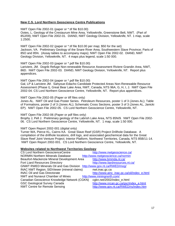#### **New C.S. Lord Northern Geoscience Centre Publications**

NWT Open File 2002-01 (paper or \*.tif file \$10.00) Ootes, L. Geology of the Crestaurum Mine Area, Yellowknife, Greenstone Belt, NWT. (Part of 85J/09); NWT Open File 2002-01. DIAND, NWT Geology Division, Yellowknife, NT. 1 map, scale 1:2500.

NWT Open File 2002-02 (paper or \*.tif file \$10.00 per map; \$50 for the set) Jackson, VA. Preliminary Geology of the Snare River Area, Southwestern Slave Province; Parts of 85O and 85N. (Assay tables to accompany maps); NWT Open File 2002-02. DIAND, NWT Geology Division, Yellowknife, NT. 4 maps plus legend, scale 1:50 000.

NWT Open File 2002-03 (paper or \*.pdf file \$10.00) Lariviere, JM. Dogrib Refuge Non-renewable Resource Assessment Riviere Grandin Area, NWT, 86D. NWT Open File 2002-03. DIAND, NWT Geology Division, Yellowknife, NT. Report plus appendices.

NWT Open File 2002-04 (paper or \*.pdf file \$10.00) Gal, LP & Lariviere JM. Sahyoue-Edacho Candidate Protected Areas Non-Renewable Resource Assessment (Phase I), Great Bear Lake Area, NWT, Canada, NTS 96A, G, H, I, J. NWT Open File 2002-04. CS Lord Northern Geoscience Centre, Yellowknife, NT. Report plus appendices.

NWT Open File 2002-05 (Paper or tiff files only)

Jones AL. NWT Oil and Gas Poster Series. Petroleum Resources, poster 1 of 3 (Jones AL); Table of Formations, poster 2 of 3 (Jones AL); Schematic Cross Sections, poster 3 of 3 (Jones AL, Janicki EP). NWT Open File 2002-05. CS Lord Northern Geoscience Centre, Yellowknife, NT.

NWT Open File 2002-06 (Paper or pdf files only)

Brophy J, Pell J. Preliminary geology of the Labrish Lake Area, NTS 85N/9. NWT Open File 2002- 06. CS Lord Northern Geoscience Centre, Yellowknife, NT. 1 map, scale 1:50 000.

NWT Open Report 2002-001 (digital only)

Turner WA, Pierce KL, Cairns KA. Great Slave Reef (GSR) Project Drillhole Database. A compilation of the drillhole locations, drill logs, and associated geochemical data for the Great Slave Reef Joint Venture Project; Interior Platform, Northwest Territories, Canada, NTS 85B/11-14. NWT Open Report 2002-001. CS Lord Northern Geoscience Centre, Yellowknife, NT.

#### **Websites related to Northwest Territories Geology**

| <b>CS Lord Northern GeoscienceCentre</b>                               | http://www.nwtgeoscience.ca/                |
|------------------------------------------------------------------------|---------------------------------------------|
| <b>NORMIN Northern Minerals Database</b>                               | http://www.nwtgeoscience.ca/normin          |
| Beaufort-Mackenzie Mineral Development Area                            | http://www.bmmda.nt.ca/                     |
| <b>Fort Liard Resources Directory</b>                                  | http://www.liardresources.nt.ca/            |
| GNWT RWED Minerals Oil and Gas Division http://www.gov.nt.ca/RWED/mog/ |                                             |
| <b>INAC NWT Region; SIDViewer (mineral claims)</b>                     | nwt.inac.gc.ca                              |
| <b>INAC Oil and Gas Directorate</b>                                    | http://www.ainc_inac.gc.ca/oil/index_e.html |
| NWT and Nunavut Chamber of Mines                                       | http://www.miningnorth.com/                 |
| Canadian Geoscience Knowledge Network (CGKN)                           | cgkn.net/2002/index_e.html                  |
| <b>GSC Geological Survey Canada</b>                                    | http://www.nrcan.gc.ca/gsc/index_e.html     |
| <b>NWT Centre for Remote Sensing</b>                                   | http://www.gov.nt.ca/RWED/rs/index.htm      |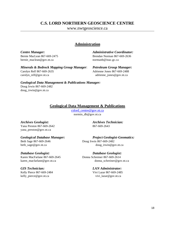# **C.S. LORD NORTHERN GEOSCIENCE CENTRE**

www.nwtgeoscience.ca

### **Administration**

bernie\_maclean@gov.nt.ca normanb@inac.gc.ca

*Centre Manager: Administrative Coordinator:* Bernie MacLean 867-669-2475 Brendan Norman 867-669-2636

*Minerals & Bedrock Mapping Group Manager*: *Petroleum Group Manager:* Carolyn Relf 867-669-2635 Adrienne Jones 867-669-2488 carolyn\_relf@gov.nt.ca adrienne\_jones@gov.nt.ca

*Geological Data Management & Publications Manager:* Doug Irwin 867-669-2482 doug\_irwin@gov.nt.ca

### **Geological Data Management & Publications**

cslord\_centre@gov.nt.ca normin\_db@gov.nt.ca

Yana Preston 867-669-2642 867-669-2643 yana\_preston@gov.nt.ca

### *Database Geologist: Database Geologist:*

Karen MacFarlane 867-669-2645 Donna Schreiner 867-669-2614

Kelly Pierce 867-669-2484 Vivi Lazar 867-669-2485 kelly pierce@gov.nt.ca vivi\_lazar@gov.nt.ca

*Archives Geologist: Archives Technician:*

*Geological Database Manager: Project Geologist-Geomatics:* Beth Sage 867-669-2646 Doug Irwin 867-669-2482

beth\_sage@gov.nt.ca doug\_irwin@gov.nt.ca

karen\_macfarlane@gov.nt.ca donna\_schreiner@gov.nt.ca

# *GIS Technician: LAN Administrator:*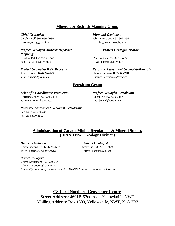# **Minerals & Bedrock Mapping Group**

### *Project Geologist-Mineral Deposits: Project Geologist-Bedrock Mapping:* Hendrik Falck 867-669-2481 Val Jackson 867-669-2483

hendrik falck@gov.nt.ca val\_jackson@gov.nt.ca

allan\_turner@gov.nt.ca james\_lariviere@gov.nt.ca

*Chief Geologist: Diamond Geologist:*

Carolyn Relf 867-669-2635 John Armstrong 867-669-2644 carolyn\_relf@gov.nt.ca john\_armstrong@gov.nt.ca

*Project Geologist-MVT Deposits*: *Resource Assessment Geologist-Minerals:* Allan Turner 867-699-2479 Jamie Lariviere 867-669-2480

## **Petroleum Group**

### *Scientific Coordinator-Petroleum: Project Geologist-Petroleum:*

Adrienne Jones 867-669-2488 Ed Janicki 867-669-2487 adrienne\_jones@gov.nt.ca ed\_janicki@gov.nt.ca

#### *Resource Assessment Geologist-Petroleum:*

Len Gal 867-669-2486 len\_gal@gov.nt.ca

# **Administration of Canada Mining Regulations & Mineral Studies (DIAND NWT Geology Division)**

*District Geologist: District Geologist:* Karen Gochnauer 867-669-2637 Steve Goff 867-669-2638 karen\_gochnauer@gov.nt.ca steve\_goff@gov.nt.ca

#### *District Geologist\*:*

Velma Sterenberg 867-669-2641 velma\_sterenberg@gov.nt.ca *\*currently on a one-year assignment to DIAND Mineral Development Division*

> **CS Lord Northern Geoscience Centre Street Address:** 4601B-52nd Ave; Yellowknife, NWT **Mailing Address:** Box 1500, Yellowknife, NWT, X1A 2R3